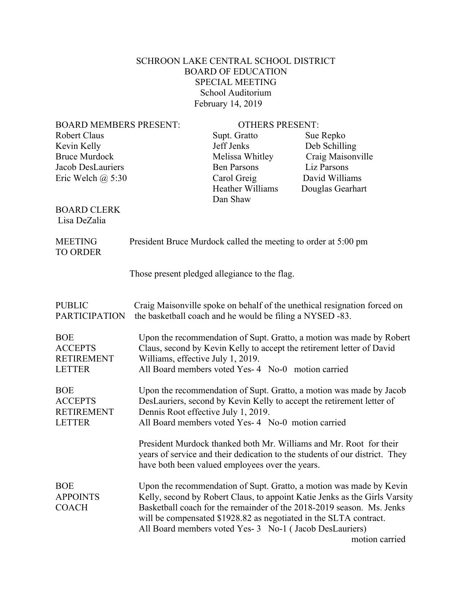## SCHROON LAKE CENTRAL SCHOOL DISTRICT BOARD OF EDUCATION SPECIAL MEETING School Auditorium February 14, 2019

BOARD MEMBERS PRESENT: OTHERS PRESENT: Robert Claus Supt. Gratto Sue Repko Sue Repko Sue Repko Sue Repko Sue Repko Sue Repko Sue Repko Super Repko Sue Repko Sue Repko Sue Repko Sue Repko Sue Repko Sue Repko Sue Repko Sue Repko Sue Repko Sue Repko Sue Repko Sue

Jacob DesLauriers Ben Parsons Liz Parsons Eric Welch @ 5:30 Carol Greig David Williams Dan Shaw

Bruce Murdock Melissa Whitley Craig Maisonville Heather Williams Douglas Gearhart

## BOARD CLERK Lisa DeZalia

 MEETING President Bruce Murdock called the meeting to order at 5:00 pm TO ORDER Those present pledged allegiance to the flag.

| <b>BOE</b>                                                                                                                                                                                                                                                                                                                                                                                                                    |  |
|-------------------------------------------------------------------------------------------------------------------------------------------------------------------------------------------------------------------------------------------------------------------------------------------------------------------------------------------------------------------------------------------------------------------------------|--|
| Upon the recommendation of Supt. Gratto, a motion was made by Robert<br><b>ACCEPTS</b><br>Claus, second by Kevin Kelly to accept the retirement letter of David<br><b>RETIREMENT</b><br>Williams, effective July 1, 2019.<br>All Board members voted Yes- 4 No-0 motion carried<br><b>LETTER</b>                                                                                                                              |  |
| Upon the recommendation of Supt. Gratto, a motion was made by Jacob<br><b>BOE</b><br>DesLauriers, second by Kevin Kelly to accept the retirement letter of<br><b>ACCEPTS</b><br>Dennis Root effective July 1, 2019.<br><b>RETIREMENT</b><br>All Board members voted Yes- 4 No-0 motion carried<br><b>LETTER</b>                                                                                                               |  |
| President Murdock thanked both Mr. Williams and Mr. Root for their<br>years of service and their dedication to the students of our district. They<br>have both been valued employees over the years.                                                                                                                                                                                                                          |  |
| <b>BOE</b><br>Upon the recommendation of Supt. Gratto, a motion was made by Kevin<br>Kelly, second by Robert Claus, to appoint Katie Jenks as the Girls Varsity<br><b>APPOINTS</b><br>Basketball coach for the remainder of the 2018-2019 season. Ms. Jenks<br><b>COACH</b><br>will be compensated \$1928.82 as negotiated in the SLTA contract.<br>All Board members voted Yes- 3 No-1 (Jacob DesLauriers)<br>motion carried |  |